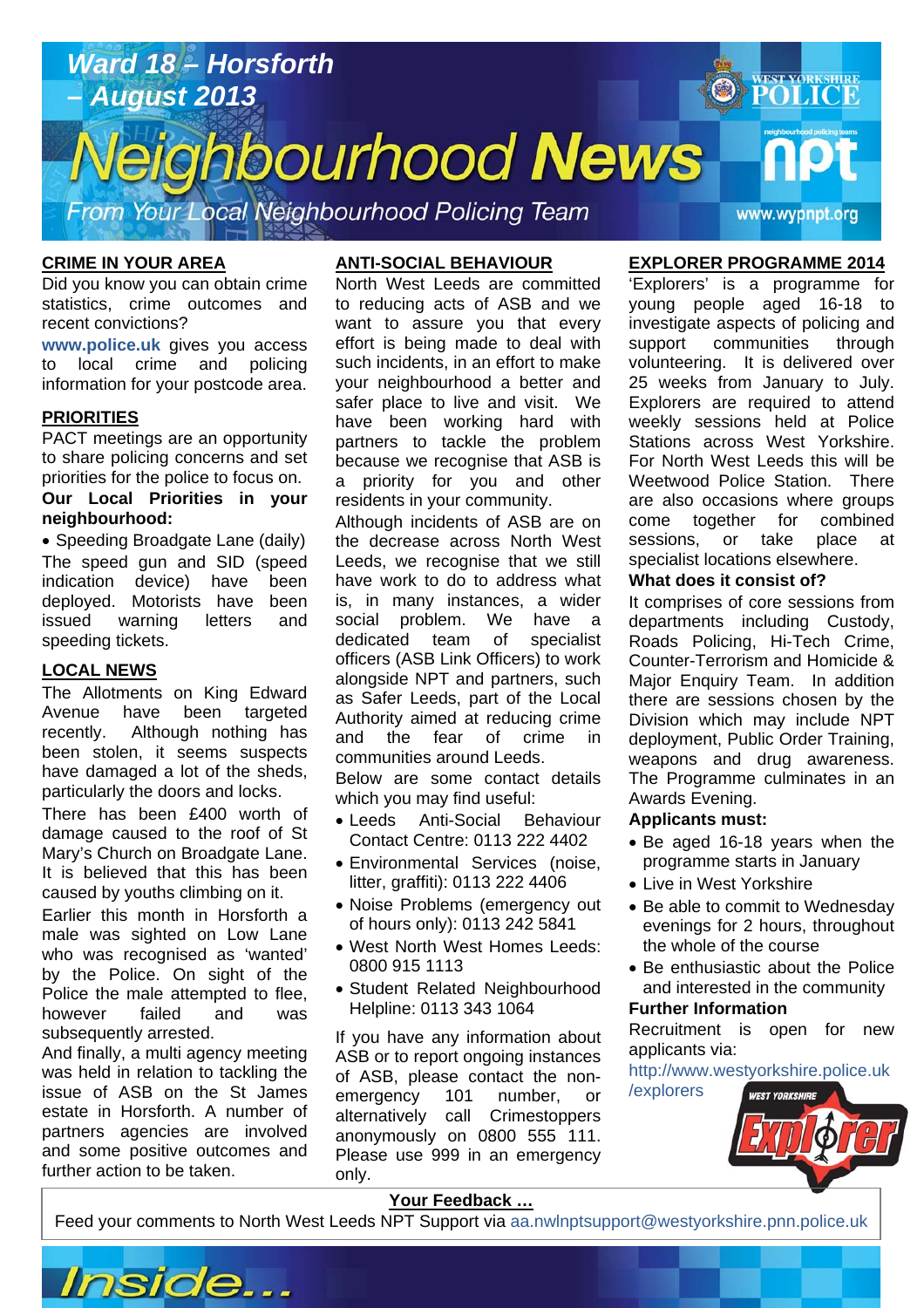

### **CRIME IN YOUR AREA**

Did you know you can obtain crime statistics, crime outcomes and recent convictions?

**www.police.uk** gives you access to local crime and policing information for your postcode area.

### **PRIORITIES**

PACT meetings are an opportunity to share policing concerns and set priorities for the police to focus on. **Our Local Priorities in your neighbourhood:** 

• Speeding Broadgate Lane (daily) The speed gun and SID (speed indication device) have been deployed. Motorists have been issued warning letters and speeding tickets.

#### **LOCAL NEWS**

The Allotments on King Edward Avenue have been targeted recently. Although nothing has been stolen, it seems suspects have damaged a lot of the sheds, particularly the doors and locks.

There has been £400 worth of damage caused to the roof of St Mary's Church on Broadgate Lane. It is believed that this has been caused by youths climbing on it.

Earlier this month in Horsforth a male was sighted on Low Lane who was recognised as 'wanted' by the Police. On sight of the Police the male attempted to flee, however failed and was subsequently arrested.

And finally, a multi agency meeting was held in relation to tackling the issue of ASB on the St James estate in Horsforth. A number of partners agencies are involved and some positive outcomes and further action to be taken.

## **ANTI-SOCIAL BEHAVIOUR**

North West Leeds are committed to reducing acts of ASB and we want to assure you that every effort is being made to deal with such incidents, in an effort to make your neighbourhood a better and safer place to live and visit. We have been working hard with partners to tackle the problem because we recognise that ASB is a priority for you and other residents in your community.

Although incidents of ASB are on the decrease across North West Leeds, we recognise that we still have work to do to address what is, in many instances, a wider social problem. We have a dedicated team of specialist officers (ASB Link Officers) to work alongside NPT and partners, such as Safer Leeds, part of the Local Authority aimed at reducing crime and the fear of crime in communities around Leeds. Below are some contact details

which you may find useful:

- Leeds Anti-Social Behaviour Contact Centre: 0113 222 4402
- Environmental Services (noise, litter, graffiti): 0113 222 4406
- Noise Problems (emergency out of hours only): 0113 242 5841
- West North West Homes Leeds: 0800 915 1113
- Student Related Neighbourhood Helpline: 0113 343 1064

If you have any information about ASB or to report ongoing instances of ASB, please contact the nonemergency 101 number, or alternatively call Crimestoppers anonymously on 0800 555 111. Please use 999 in an emergency only.

# **EXPLORER PROGRAMME 2014**

'Explorers' is a programme for young people aged 16-18 to investigate aspects of policing and support communities through volunteering. It is delivered over 25 weeks from January to July. Explorers are required to attend weekly sessions held at Police Stations across West Yorkshire. For North West Leeds this will be Weetwood Police Station. There are also occasions where groups come together for combined sessions, or take place at specialist locations elsewhere.

#### **What does it consist of?**

It comprises of core sessions from departments including Custody, Roads Policing, Hi-Tech Crime, Counter-Terrorism and Homicide & Major Enquiry Team. In addition there are sessions chosen by the Division which may include NPT deployment, Public Order Training, weapons and drug awareness. The Programme culminates in an Awards Evening.

#### **Applicants must:**

- Be aged 16-18 years when the programme starts in January
- Live in West Yorkshire
- Be able to commit to Wednesday evenings for 2 hours, throughout the whole of the course
- Be enthusiastic about the Police and interested in the community

#### **Further Information**

**Article about? Pg 3 Article about? Pg 4** 

Recruitment is open for new applicants via:

http://www.westyorkshire.police.uk /explorers



# **Your Feedback …**

Feed your comments to North West Leeds NPT Support via aa.nwlnptsupport@westyorkshire.pnn.police.uk